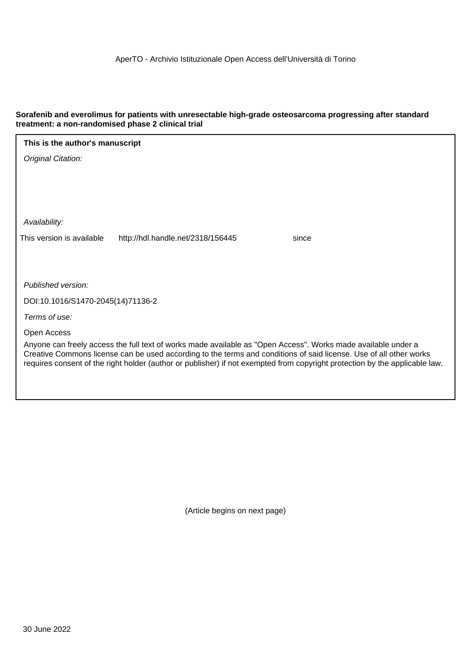# **Sorafenib and everolimus for patients with unresectable high-grade osteosarcoma progressing after standard treatment: a non-randomised phase 2 clinical trial**

| This is the author's manuscript                                                                                                                                                                                                                                                                                                                                    |  |  |  |  |  |  |
|--------------------------------------------------------------------------------------------------------------------------------------------------------------------------------------------------------------------------------------------------------------------------------------------------------------------------------------------------------------------|--|--|--|--|--|--|
| Original Citation:                                                                                                                                                                                                                                                                                                                                                 |  |  |  |  |  |  |
|                                                                                                                                                                                                                                                                                                                                                                    |  |  |  |  |  |  |
|                                                                                                                                                                                                                                                                                                                                                                    |  |  |  |  |  |  |
|                                                                                                                                                                                                                                                                                                                                                                    |  |  |  |  |  |  |
| Availability:                                                                                                                                                                                                                                                                                                                                                      |  |  |  |  |  |  |
| This version is available<br>http://hdl.handle.net/2318/156445<br>since                                                                                                                                                                                                                                                                                            |  |  |  |  |  |  |
|                                                                                                                                                                                                                                                                                                                                                                    |  |  |  |  |  |  |
|                                                                                                                                                                                                                                                                                                                                                                    |  |  |  |  |  |  |
| Published version:                                                                                                                                                                                                                                                                                                                                                 |  |  |  |  |  |  |
| DOI:10.1016/S1470-2045(14)71136-2                                                                                                                                                                                                                                                                                                                                  |  |  |  |  |  |  |
| Terms of use:                                                                                                                                                                                                                                                                                                                                                      |  |  |  |  |  |  |
| Open Access                                                                                                                                                                                                                                                                                                                                                        |  |  |  |  |  |  |
| Anyone can freely access the full text of works made available as "Open Access". Works made available under a<br>Creative Commons license can be used according to the terms and conditions of said license. Use of all other works<br>requires consent of the right holder (author or publisher) if not exempted from copyright protection by the applicable law. |  |  |  |  |  |  |
|                                                                                                                                                                                                                                                                                                                                                                    |  |  |  |  |  |  |

(Article begins on next page)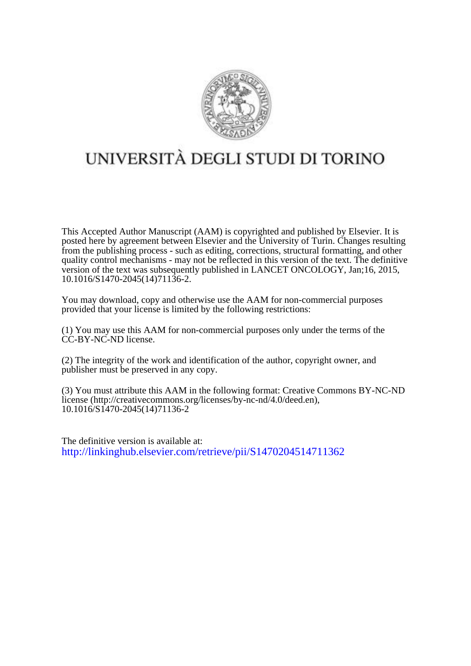

# UNIVERSITÀ DEGLI STUDI DI TORINO

This Accepted Author Manuscript (AAM) is copyrighted and published by Elsevier. It is posted here by agreement between Elsevier and the University of Turin. Changes resulting from the publishing process - such as editing, corrections, structural formatting, and other quality control mechanisms - may not be reflected in this version of the text. The definitive version of the text was subsequently published in LANCET ONCOLOGY, Jan;16, 2015, 10.1016/S1470-2045(14)71136-2.

You may download, copy and otherwise use the AAM for non-commercial purposes provided that your license is limited by the following restrictions:

(1) You may use this AAM for non-commercial purposes only under the terms of the CC-BY-NC-ND license.

(2) The integrity of the work and identification of the author, copyright owner, and publisher must be preserved in any copy.

(3) You must attribute this AAM in the following format: Creative Commons BY-NC-ND license (http://creativecommons.org/licenses/by-nc-nd/4.0/deed.en), 10.1016/S1470-2045(14)71136-2

The definitive version is available at: <http://linkinghub.elsevier.com/retrieve/pii/S1470204514711362>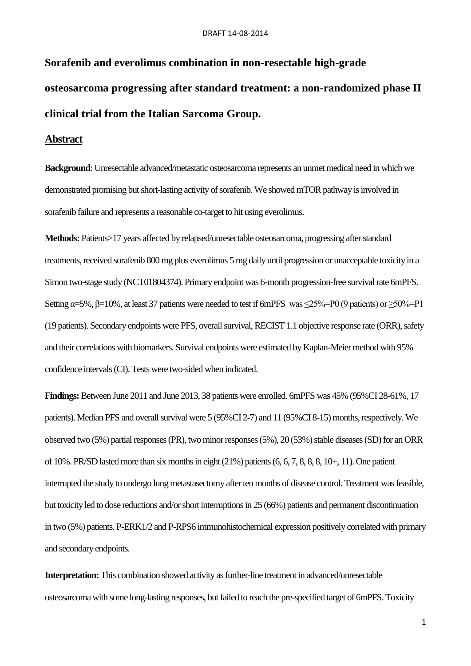# **Sorafenib and everolimus combination in non-resectable high-grade osteosarcoma progressing after standard treatment: a non-randomized phase II clinical trial from the Italian Sarcoma Group.**

# **Abstract**

**Background**: Unresectable advanced/metastatic osteosarcoma represents an unmet medical need in which we demonstrated promising but short-lasting activity of sorafenib. We showed mTOR pathway is involved in sorafenib failure and represents a reasonable co-target to hit using everolimus.

**Methods:** Patients>17 years affected by relapsed/unresectable osteosarcoma, progressing after standard treatments, received sorafenib 800 mg plus everolimus 5 mg daily until progression or unacceptable toxicity in a Simon two-stage study (NCT01804374). Primary endpoint was 6-month progression-free survival rate 6mPFS. Setting α=5%, β=10%, at least 37 patients were needed to test if 6mPFS was  $\leq$ 25%=P0 (9 patients) or  $\geq$ 50%=P1 (19 patients). Secondary endpoints were PFS, overall survival, RECIST 1.1 objective response rate (ORR), safety and their correlations with biomarkers. Survival endpoints were estimated by Kaplan-Meier method with 95% confidence intervals (CI). Tests were two-sided when indicated.

**Findings:** Between June 2011 and June 2013, 38 patients were enrolled. 6mPFS was 45% (95%CI 28-61%, 17 patients). Median PFS and overall survival were 5 (95%CI 2-7) and 11 (95%CI 8-15) months, respectively. We observed two (5%) partial responses (PR), two minor responses (5%), 20 (53%) stable diseases (SD) for an ORR of 10%. PR/SD lasted more than six months in eight (21%) patients (6, 6, 7, 8, 8, 8, 10+, 11). One patient interrupted the study to undergo lung metastasectomy after ten months of disease control. Treatment was feasible, but toxicity led to dose reductions and/or short interruptions in 25 (66%) patients and permanent discontinuation in two (5%) patients. P-ERK1/2 and P-RPS6 immunohistochemical expression positively correlated with primary and secondary endpoints.

**Interpretation:** This combination showed activity as further-line treatment in advanced/unresectable osteosarcoma with some long-lasting responses, but failed to reach the pre-specified target of 6mPFS. Toxicity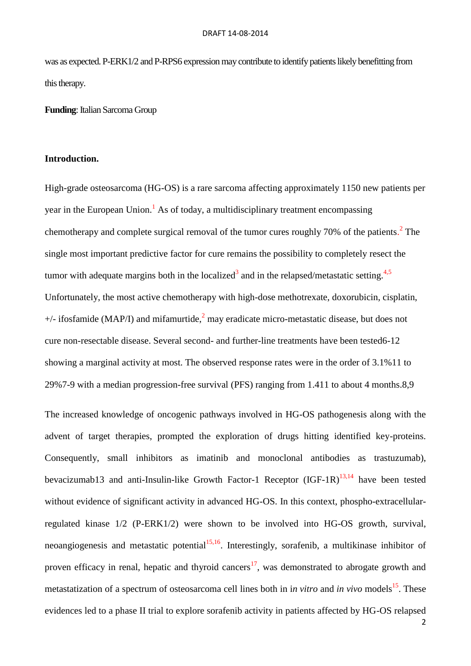was as expected. P-ERK1/2 and P-RPS6 expression may contribute to identify patients likely benefitting from this therapy.

**Funding**: Italian Sarcoma Group

#### **Introduction.**

High-grade osteosarcoma (HG-OS) is a rare sarcoma affecting approximately 1150 new patients per year in the European Union.<sup>1</sup> As of today, a multidisciplinary treatment encompassing chemotherapy and complete surgical removal of the tumor cures roughly 70% of the patients.<sup>2</sup> The single most important predictive factor for cure remains the possibility to completely resect the tumor with adequate margins both in the localized<sup>3</sup> and in the relapsed/metastatic setting.<sup>4,5</sup> Unfortunately, the most active chemotherapy with high-dose methotrexate, doxorubicin, cisplatin,  $+/-$  ifosfamide (MAP/I) and mifamurtide,<sup>2</sup> may eradicate micro-metastatic disease, but does not cure non-resectable disease. Several second- and further-line treatments have been tested6-12 showing a marginal activity at most. The observed response rates were in the order of 3.1%11 to 29%7-9 with a median progression-free survival (PFS) ranging from 1.411 to about 4 months.8,9

The increased knowledge of oncogenic pathways involved in HG-OS pathogenesis along with the advent of target therapies, prompted the exploration of drugs hitting identified key-proteins. Consequently, small inhibitors as imatinib and monoclonal antibodies as trastuzumab), bevacizumab13 and anti-Insulin-like Growth Factor-1 Receptor  $(IGF-1R)^{13,14}$  have been tested without evidence of significant activity in advanced HG-OS. In this context, phospho-extracellularregulated kinase 1/2 (P-ERK1/2) were shown to be involved into HG-OS growth, survival, neoangiogenesis and metastatic potential<sup>15,16</sup>. Interestingly, sorafenib, a multikinase inhibitor of proven efficacy in renal, hepatic and thyroid cancers<sup>17</sup>, was demonstrated to abrogate growth and metastatization of a spectrum of osteosarcoma cell lines both in *in vitro* and *in vivo* models<sup>15</sup>. These evidences led to a phase II trial to explore sorafenib activity in patients affected by HG-OS relapsed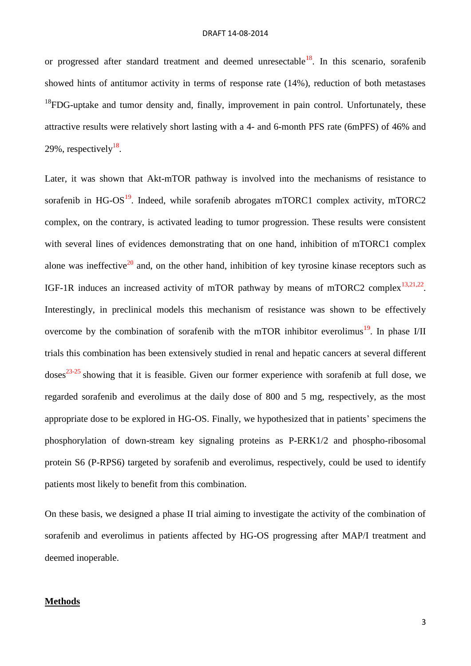or progressed after standard treatment and deemed unresectable<sup>18</sup>. In this scenario, sorafenib showed hints of antitumor activity in terms of response rate (14%), reduction of both metastases  $^{18}$ FDG-uptake and tumor density and, finally, improvement in pain control. Unfortunately, these attractive results were relatively short lasting with a 4- and 6-month PFS rate (6mPFS) of 46% and 29%, respectively $^{18}$ .

Later, it was shown that Akt-mTOR pathway is involved into the mechanisms of resistance to sorafenib in HG-OS $^{19}$ . Indeed, while sorafenib abrogates mTORC1 complex activity, mTORC2 complex, on the contrary, is activated leading to tumor progression. These results were consistent with several lines of evidences demonstrating that on one hand, inhibition of mTORC1 complex alone was ineffective<sup>20</sup> and, on the other hand, inhibition of key tyrosine kinase receptors such as IGF-1R induces an increased activity of mTOR pathway by means of mTORC2 complex<sup>13,21,22</sup>. Interestingly, in preclinical models this mechanism of resistance was shown to be effectively overcome by the combination of sorafenib with the mTOR inhibitor everolimus<sup>19</sup>. In phase I/II trials this combination has been extensively studied in renal and hepatic cancers at several different  $doses<sup>23-25</sup>$  showing that it is feasible. Given our former experience with sorafenib at full dose, we regarded sorafenib and everolimus at the daily dose of 800 and 5 mg, respectively, as the most appropriate dose to be explored in HG-OS. Finally, we hypothesized that in patients' specimens the phosphorylation of down-stream key signaling proteins as P-ERK1/2 and phospho-ribosomal protein S6 (P-RPS6) targeted by sorafenib and everolimus, respectively, could be used to identify patients most likely to benefit from this combination.

On these basis, we designed a phase II trial aiming to investigate the activity of the combination of sorafenib and everolimus in patients affected by HG-OS progressing after MAP/I treatment and deemed inoperable.

## **Methods**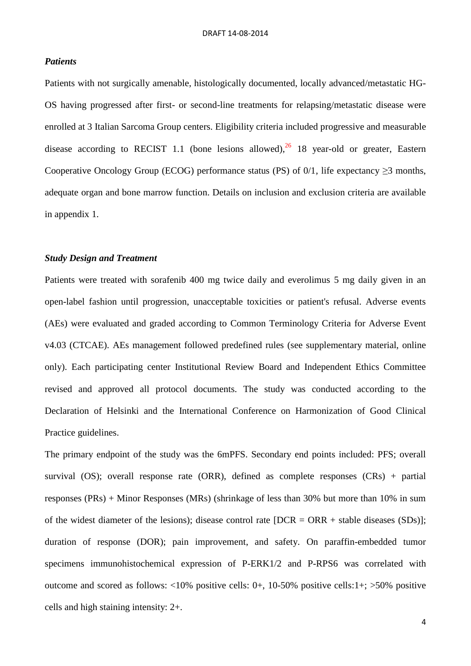## *Patients*

Patients with not surgically amenable, histologically documented, locally advanced/metastatic HG-OS having progressed after first- or second-line treatments for relapsing/metastatic disease were enrolled at 3 Italian Sarcoma Group centers. Eligibility criteria included progressive and measurable disease according to RECIST 1.1 (bone lesions allowed), $^{26}$  18 year-old or greater, Eastern Cooperative Oncology Group (ECOG) performance status (PS) of  $0/1$ , life expectancy  $\geq 3$  months, adequate organ and bone marrow function. Details on inclusion and exclusion criteria are available in appendix 1.

# *Study Design and Treatment*

Patients were treated with sorafenib 400 mg twice daily and everolimus 5 mg daily given in an open-label fashion until progression, unacceptable toxicities or patient's refusal. Adverse events (AEs) were evaluated and graded according to Common Terminology Criteria for Adverse Event v4.03 (CTCAE). AEs management followed predefined rules (see supplementary material, online only). Each participating center Institutional Review Board and Independent Ethics Committee revised and approved all protocol documents. The study was conducted according to the Declaration of Helsinki and the International Conference on Harmonization of Good Clinical Practice guidelines.

The primary endpoint of the study was the 6mPFS. Secondary end points included: PFS; overall survival (OS); overall response rate (ORR), defined as complete responses (CRs) + partial responses (PRs) + Minor Responses (MRs) (shrinkage of less than 30% but more than 10% in sum of the widest diameter of the lesions); disease control rate  $[DCR = ORR + stable$  diseases  $(SDs)$ ]; duration of response (DOR); pain improvement, and safety. On paraffin-embedded tumor specimens immunohistochemical expression of P-ERK1/2 and P-RPS6 was correlated with outcome and scored as follows: <10% positive cells: 0+, 10-50% positive cells:1+; >50% positive cells and high staining intensity: 2+.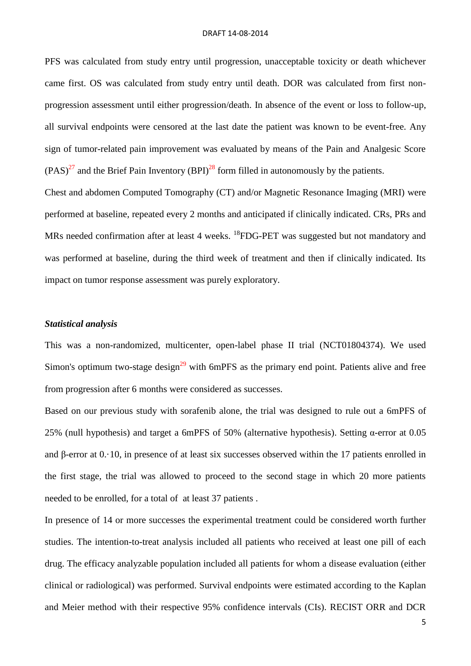PFS was calculated from study entry until progression, unacceptable toxicity or death whichever came first. OS was calculated from study entry until death. DOR was calculated from first nonprogression assessment until either progression/death. In absence of the event or loss to follow-up, all survival endpoints were censored at the last date the patient was known to be event-free. Any sign of tumor-related pain improvement was evaluated by means of the Pain and Analgesic Score  $(PAS)^{27}$  and the Brief Pain Inventory (BPI)<sup>28</sup> form filled in autonomously by the patients.

Chest and abdomen Computed Tomography (CT) and/or Magnetic Resonance Imaging (MRI) were performed at baseline, repeated every 2 months and anticipated if clinically indicated. CRs, PRs and MRs needed confirmation after at least 4 weeks. <sup>18</sup>FDG-PET was suggested but not mandatory and was performed at baseline, during the third week of treatment and then if clinically indicated. Its impact on tumor response assessment was purely exploratory.

## *Statistical analysis*

This was a non-randomized, multicenter, open-label phase II trial (NCT01804374). We used Simon's optimum two-stage design<sup>29</sup> with 6mPFS as the primary end point. Patients alive and free from progression after 6 months were considered as successes.

Based on our previous study with sorafenib alone, the trial was designed to rule out a 6mPFS of 25% (null hypothesis) and target a 6mPFS of 50% (alternative hypothesis). Setting α-error at 0.05 and β-error at 0.·10, in presence of at least six successes observed within the 17 patients enrolled in the first stage, the trial was allowed to proceed to the second stage in which 20 more patients needed to be enrolled, for a total of at least 37 patients .

In presence of 14 or more successes the experimental treatment could be considered worth further studies. The intention-to-treat analysis included all patients who received at least one pill of each drug. The efficacy analyzable population included all patients for whom a disease evaluation (either clinical or radiological) was performed. Survival endpoints were estimated according to the Kaplan and Meier method with their respective 95% confidence intervals (CIs). RECIST ORR and DCR

5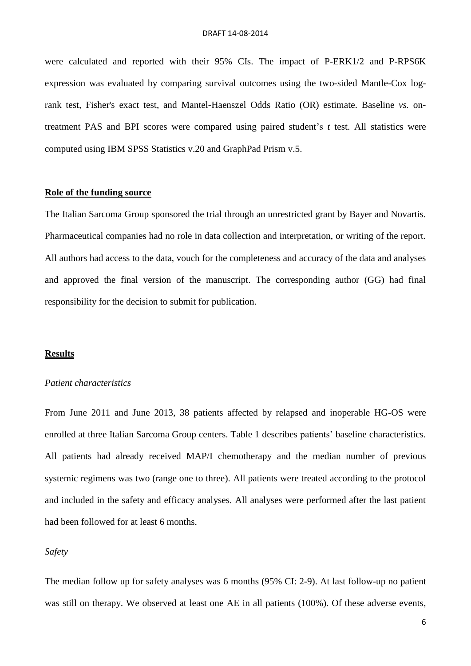were calculated and reported with their 95% CIs. The impact of P-ERK1/2 and P-RPS6K expression was evaluated by comparing survival outcomes using the two-sided Mantle-Cox logrank test, Fisher's exact test, and Mantel-Haenszel Odds Ratio (OR) estimate. Baseline *vs.* ontreatment PAS and BPI scores were compared using paired student's *t* test. All statistics were computed using IBM SPSS Statistics v.20 and GraphPad Prism v.5.

#### **Role of the funding source**

The Italian Sarcoma Group sponsored the trial through an unrestricted grant by Bayer and Novartis. Pharmaceutical companies had no role in data collection and interpretation, or writing of the report. All authors had access to the data, vouch for the completeness and accuracy of the data and analyses and approved the final version of the manuscript. The corresponding author (GG) had final responsibility for the decision to submit for publication.

#### **Results**

#### *Patient characteristics*

From June 2011 and June 2013, 38 patients affected by relapsed and inoperable HG-OS were enrolled at three Italian Sarcoma Group centers. Table 1 describes patients' baseline characteristics. All patients had already received MAP/I chemotherapy and the median number of previous systemic regimens was two (range one to three). All patients were treated according to the protocol and included in the safety and efficacy analyses. All analyses were performed after the last patient had been followed for at least 6 months.

#### *Safety*

The median follow up for safety analyses was 6 months (95% CI: 2-9). At last follow-up no patient was still on therapy. We observed at least one AE in all patients (100%). Of these adverse events,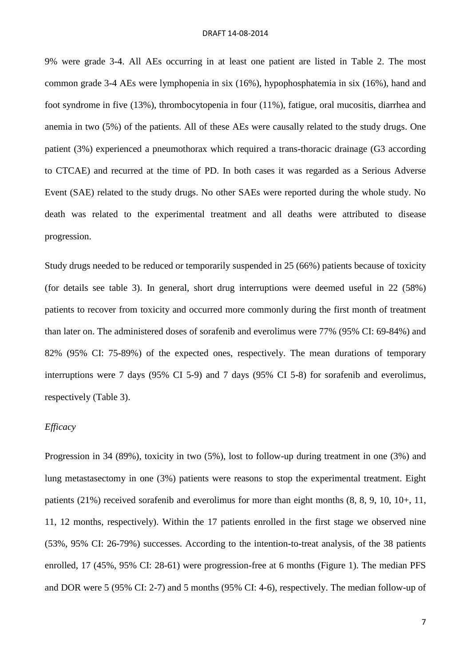9% were grade 3-4. All AEs occurring in at least one patient are listed in Table 2. The most common grade 3-4 AEs were lymphopenia in six (16%), hypophosphatemia in six (16%), hand and foot syndrome in five (13%), thrombocytopenia in four (11%), fatigue, oral mucositis, diarrhea and anemia in two (5%) of the patients. All of these AEs were causally related to the study drugs. One patient (3%) experienced a pneumothorax which required a trans-thoracic drainage (G3 according to CTCAE) and recurred at the time of PD. In both cases it was regarded as a Serious Adverse Event (SAE) related to the study drugs. No other SAEs were reported during the whole study. No death was related to the experimental treatment and all deaths were attributed to disease progression.

Study drugs needed to be reduced or temporarily suspended in 25 (66%) patients because of toxicity (for details see table 3). In general, short drug interruptions were deemed useful in 22 (58%) patients to recover from toxicity and occurred more commonly during the first month of treatment than later on. The administered doses of sorafenib and everolimus were 77% (95% CI: 69-84%) and 82% (95% CI: 75-89%) of the expected ones, respectively. The mean durations of temporary interruptions were 7 days (95% CI 5-9) and 7 days (95% CI 5-8) for sorafenib and everolimus, respectively (Table 3).

## *Efficacy*

Progression in 34 (89%), toxicity in two (5%), lost to follow-up during treatment in one (3%) and lung metastasectomy in one (3%) patients were reasons to stop the experimental treatment. Eight patients (21%) received sorafenib and everolimus for more than eight months (8, 8, 9, 10, 10+, 11, 11, 12 months, respectively). Within the 17 patients enrolled in the first stage we observed nine (53%, 95% CI: 26-79%) successes. According to the intention-to-treat analysis, of the 38 patients enrolled, 17 (45%, 95% CI: 28-61) were progression-free at 6 months (Figure 1). The median PFS and DOR were 5 (95% CI: 2-7) and 5 months (95% CI: 4-6), respectively. The median follow-up of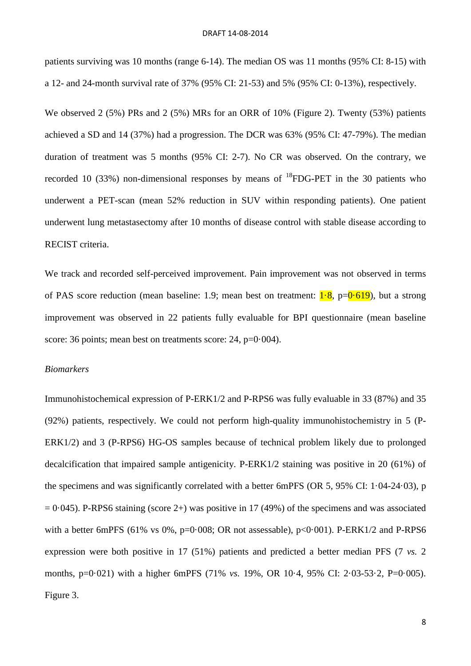patients surviving was 10 months (range 6-14). The median OS was 11 months (95% CI: 8-15) with a 12- and 24-month survival rate of 37% (95% CI: 21-53) and 5% (95% CI: 0-13%), respectively.

We observed 2 (5%) PRs and 2 (5%) MRs for an ORR of 10% (Figure 2). Twenty (53%) patients achieved a SD and 14 (37%) had a progression. The DCR was 63% (95% CI: 47-79%). The median duration of treatment was 5 months (95% CI: 2-7). No CR was observed. On the contrary, we recorded 10 (33%) non-dimensional responses by means of  $^{18}$ FDG-PET in the 30 patients who underwent a PET-scan (mean 52% reduction in SUV within responding patients). One patient underwent lung metastasectomy after 10 months of disease control with stable disease according to RECIST criteria.

We track and recorded self-perceived improvement. Pain improvement was not observed in terms of PAS score reduction (mean baseline: 1.9; mean best on treatment:  $1\cdot 8$ , p= $0\cdot 619$ ), but a strong improvement was observed in 22 patients fully evaluable for BPI questionnaire (mean baseline score: 36 points; mean best on treatments score: 24, p=0.004).

# *Biomarkers*

Immunohistochemical expression of P-ERK1/2 and P-RPS6 was fully evaluable in 33 (87%) and 35 (92%) patients, respectively. We could not perform high-quality immunohistochemistry in 5 (P-ERK1/2) and 3 (P-RPS6) HG-OS samples because of technical problem likely due to prolonged decalcification that impaired sample antigenicity. P-ERK1/2 staining was positive in 20 (61%) of the specimens and was significantly correlated with a better 6mPFS (OR 5, 95% CI: 1·04-24·03), p  $= 0.045$ ). P-RPS6 staining (score 2+) was positive in 17 (49%) of the specimens and was associated with a better 6mPFS (61% vs 0%, p=0.008; OR not assessable), p<0.001). P-ERK1/2 and P-RPS6 expression were both positive in 17 (51%) patients and predicted a better median PFS (7 *vs.* 2 months, p=0·021) with a higher 6mPFS (71% *vs.* 19%, OR 10·4, 95% CI: 2·03-53·2, P=0·005). Figure 3.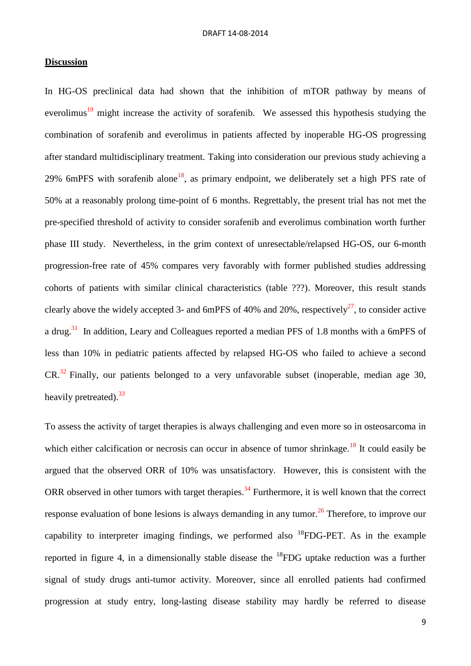# **Discussion**

In HG-OS preclinical data had shown that the inhibition of mTOR pathway by means of everolimus<sup>19</sup> might increase the activity of sorafenib. We assessed this hypothesis studying the combination of sorafenib and everolimus in patients affected by inoperable HG-OS progressing after standard multidisciplinary treatment. Taking into consideration our previous study achieving a 29% 6mPFS with sorafenib alone<sup>18</sup>, as primary endpoint, we deliberately set a high PFS rate of 50% at a reasonably prolong time-point of 6 months. Regrettably, the present trial has not met the pre-specified threshold of activity to consider sorafenib and everolimus combination worth further phase III study. Nevertheless, in the grim context of unresectable/relapsed HG-OS, our 6-month progression-free rate of 45% compares very favorably with former published studies addressing cohorts of patients with similar clinical characteristics (table ???). Moreover, this result stands clearly above the widely accepted 3- and 6mPFS of 40% and 20%, respectively<sup>27</sup>, to consider active a drug.<sup>31</sup> In addition, Leary and Colleagues reported a median PFS of 1.8 months with a 6mPFS of less than 10% in pediatric patients affected by relapsed HG-OS who failed to achieve a second  $CR.^{32}$  Finally, our patients belonged to a very unfavorable subset (inoperable, median age 30, heavily pretreated).<sup>33</sup>

To assess the activity of target therapies is always challenging and even more so in osteosarcoma in which either calcification or necrosis can occur in absence of tumor shrinkage.<sup>18</sup> It could easily be argued that the observed ORR of 10% was unsatisfactory. However, this is consistent with the ORR observed in other tumors with target therapies.<sup>34</sup> Furthermore, it is well known that the correct response evaluation of bone lesions is always demanding in any tumor.<sup>26</sup> Therefore, to improve our capability to interpreter imaging findings, we performed also  $^{18}$ FDG-PET. As in the example reported in figure 4, in a dimensionally stable disease the  $^{18}$ FDG uptake reduction was a further signal of study drugs anti-tumor activity. Moreover, since all enrolled patients had confirmed progression at study entry, long-lasting disease stability may hardly be referred to disease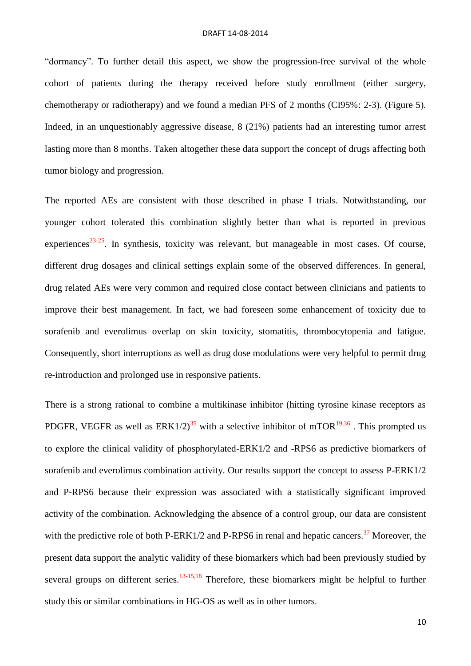"dormancy". To further detail this aspect, we show the progression-free survival of the whole cohort of patients during the therapy received before study enrollment (either surgery, chemotherapy or radiotherapy) and we found a median PFS of 2 months (CI95%: 2-3). (Figure 5). Indeed, in an unquestionably aggressive disease, 8 (21%) patients had an interesting tumor arrest lasting more than 8 months. Taken altogether these data support the concept of drugs affecting both tumor biology and progression.

The reported AEs are consistent with those described in phase I trials. Notwithstanding, our younger cohort tolerated this combination slightly better than what is reported in previous experiences $^{23-25}$ . In synthesis, toxicity was relevant, but manageable in most cases. Of course, different drug dosages and clinical settings explain some of the observed differences. In general, drug related AEs were very common and required close contact between clinicians and patients to improve their best management. In fact, we had foreseen some enhancement of toxicity due to sorafenib and everolimus overlap on skin toxicity, stomatitis, thrombocytopenia and fatigue. Consequently, short interruptions as well as drug dose modulations were very helpful to permit drug re-introduction and prolonged use in responsive patients.

There is a strong rational to combine a multikinase inhibitor (hitting tyrosine kinase receptors as PDGFR, VEGFR as well as  $ERK1/2$ <sup>35</sup> with a selective inhibitor of mTOR<sup>19,36</sup>. This prompted us to explore the clinical validity of phosphorylated-ERK1/2 and -RPS6 as predictive biomarkers of sorafenib and everolimus combination activity. Our results support the concept to assess P-ERK1/2 and P-RPS6 because their expression was associated with a statistically significant improved activity of the combination. Acknowledging the absence of a control group, our data are consistent with the predictive role of both P-ERK1/2 and P-RPS6 in renal and hepatic cancers.<sup>37</sup> Moreover, the present data support the analytic validity of these biomarkers which had been previously studied by several groups on different series.<sup>13-15,18</sup> Therefore, these biomarkers might be helpful to further study this or similar combinations in HG-OS as well as in other tumors.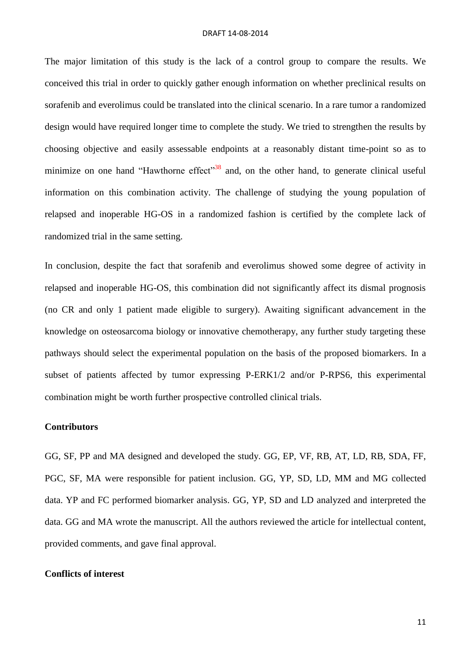The major limitation of this study is the lack of a control group to compare the results. We conceived this trial in order to quickly gather enough information on whether preclinical results on sorafenib and everolimus could be translated into the clinical scenario. In a rare tumor a randomized design would have required longer time to complete the study. We tried to strengthen the results by choosing objective and easily assessable endpoints at a reasonably distant time-point so as to minimize on one hand "Hawthorne effect"<sup>38</sup> and, on the other hand, to generate clinical useful information on this combination activity. The challenge of studying the young population of relapsed and inoperable HG-OS in a randomized fashion is certified by the complete lack of randomized trial in the same setting.

In conclusion, despite the fact that sorafenib and everolimus showed some degree of activity in relapsed and inoperable HG-OS, this combination did not significantly affect its dismal prognosis (no CR and only 1 patient made eligible to surgery). Awaiting significant advancement in the knowledge on osteosarcoma biology or innovative chemotherapy, any further study targeting these pathways should select the experimental population on the basis of the proposed biomarkers. In a subset of patients affected by tumor expressing P-ERK1/2 and/or P-RPS6, this experimental combination might be worth further prospective controlled clinical trials.

#### **Contributors**

GG, SF, PP and MA designed and developed the study. GG, EP, VF, RB, AT, LD, RB, SDA, FF, PGC, SF, MA were responsible for patient inclusion. GG, YP, SD, LD, MM and MG collected data. YP and FC performed biomarker analysis. GG, YP, SD and LD analyzed and interpreted the data. GG and MA wrote the manuscript. All the authors reviewed the article for intellectual content, provided comments, and gave final approval.

#### **Conflicts of interest**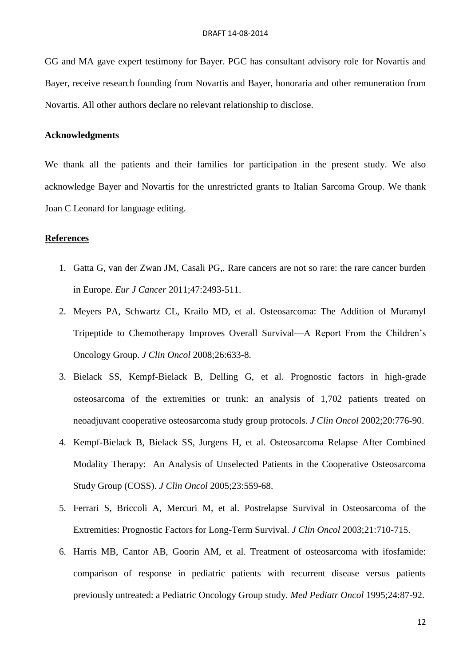GG and MA gave expert testimony for Bayer. PGC has consultant advisory role for Novartis and Bayer, receive research founding from Novartis and Bayer, honoraria and other remuneration from Novartis. All other authors declare no relevant relationship to disclose.

# **Acknowledgments**

We thank all the patients and their families for participation in the present study. We also acknowledge Bayer and Novartis for the unrestricted grants to Italian Sarcoma Group. We thank Joan C Leonard for language editing.

# **References**

- 1. Gatta G, van der Zwan JM, Casali PG,. Rare cancers are not so rare: the rare cancer burden in Europe. *Eur J Cancer* 2011;47:2493-511.
- 2. Meyers PA, Schwartz CL, Krailo MD, et al. Osteosarcoma: The Addition of Muramyl Tripeptide to Chemotherapy Improves Overall Survival—A Report From the Children's Oncology Group. *J Clin Oncol* 2008;26:633-8.
- 3. Bielack SS, Kempf-Bielack B, Delling G, et al. Prognostic factors in high-grade osteosarcoma of the extremities or trunk: an analysis of 1,702 patients treated on neoadjuvant cooperative osteosarcoma study group protocols. *J Clin Oncol* 2002;20:776-90.
- 4. Kempf-Bielack B, Bielack SS, Jurgens H, et al. Osteosarcoma Relapse After Combined Modality Therapy: An Analysis of Unselected Patients in the Cooperative Osteosarcoma Study Group (COSS). *J Clin Oncol* 2005;23:559-68.
- 5. Ferrari S, Briccoli A, Mercuri M, et al. Postrelapse Survival in Osteosarcoma of the Extremities: Prognostic Factors for Long-Term Survival. *J Clin Oncol* 2003;21:710-715.
- 6. Harris MB, Cantor AB, Goorin AM, et al. Treatment of osteosarcoma with ifosfamide: comparison of response in pediatric patients with recurrent disease versus patients previously untreated: a Pediatric Oncology Group study. *Med Pediatr Oncol* 1995;24:87-92.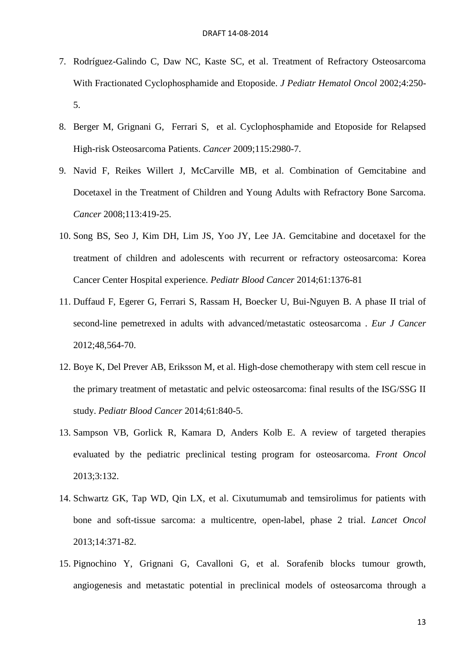- 7. Rodríguez-Galindo C, Daw NC, Kaste SC, et al. Treatment of Refractory Osteosarcoma With Fractionated Cyclophosphamide and Etoposide. *J Pediatr Hematol Oncol* 2002;4:250- 5.
- 8. Berger M, Grignani G, Ferrari S, et al. Cyclophosphamide and Etoposide for Relapsed High-risk Osteosarcoma Patients. *Cancer* 2009;115:2980-7.
- 9. Navid F, Reikes Willert J, McCarville MB, et al. Combination of Gemcitabine and Docetaxel in the Treatment of Children and Young Adults with Refractory Bone Sarcoma. *Cancer* 2008;113:419-25.
- 10. Song BS, Seo J, Kim DH, Lim JS, Yoo JY, Lee JA. Gemcitabine and docetaxel for the treatment of children and adolescents with recurrent or refractory osteosarcoma: Korea Cancer Center Hospital experience. *Pediatr Blood Cancer* 2014;61:1376-81
- 11. Duffaud F, Egerer G, Ferrari S, Rassam H, Boecker U, Bui-Nguyen B. A phase II trial of second-line pemetrexed in adults with advanced/metastatic osteosarcoma . *Eur J Cancer* 2012;48,564-70.
- 12. Boye K, Del Prever AB, Eriksson M, et al. High-dose chemotherapy with stem cell rescue in the primary treatment of metastatic and pelvic osteosarcoma: final results of the ISG/SSG II study. *Pediatr Blood Cancer* 2014;61:840-5.
- 13. Sampson VB, Gorlick R, Kamara D, Anders Kolb E. A review of targeted therapies evaluated by the pediatric preclinical testing program for osteosarcoma. *Front Oncol* 2013;3:132.
- 14. Schwartz GK, Tap WD, Qin LX, et al. Cixutumumab and temsirolimus for patients with bone and soft-tissue sarcoma: a multicentre, open-label, phase 2 trial. *Lancet Oncol* 2013;14:371-82.
- 15. Pignochino Y, Grignani G, Cavalloni G, et al. Sorafenib blocks tumour growth, angiogenesis and metastatic potential in preclinical models of osteosarcoma through a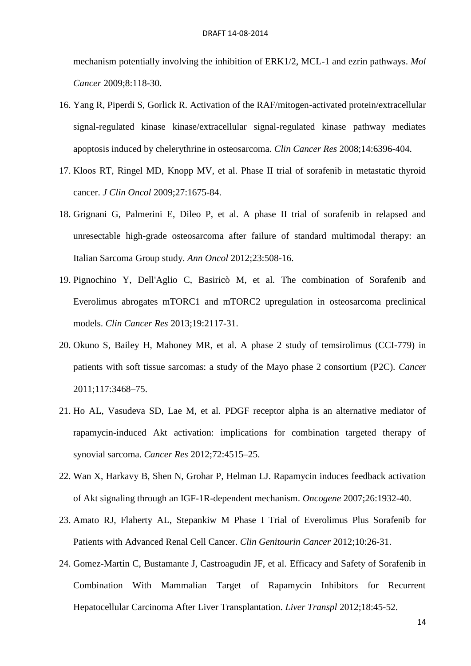mechanism potentially involving the inhibition of ERK1/2, MCL-1 and ezrin pathways. *Mol Cancer* 2009;8:118-30.

- 16. Yang R, Piperdi S, Gorlick R. Activation of the RAF/mitogen-activated protein/extracellular signal-regulated kinase kinase/extracellular signal-regulated kinase pathway mediates apoptosis induced by chelerythrine in osteosarcoma. *Clin Cancer Res* 2008;14:6396-404.
- 17. Kloos RT, Ringel MD, Knopp MV, et al. Phase II trial of sorafenib in metastatic thyroid cancer. *J Clin Oncol* 2009;27:1675-84.
- 18. Grignani G, Palmerini E, Dileo P, et al. A phase II trial of sorafenib in relapsed and unresectable high-grade osteosarcoma after failure of standard multimodal therapy: an Italian Sarcoma Group study. *Ann Oncol* 2012;23:508-16.
- 19. Pignochino Y, Dell'Aglio C, Basiricò M, et al. The combination of Sorafenib and Everolimus abrogates mTORC1 and mTORC2 upregulation in osteosarcoma preclinical models. *Clin Cancer Res* 2013;19:2117-31.
- 20. Okuno S, Bailey H, Mahoney MR, et al. A phase 2 study of temsirolimus (CCI-779) in patients with soft tissue sarcomas: a study of the Mayo phase 2 consortium (P2C). *Cance*r 2011;117:3468–75.
- 21. Ho AL, Vasudeva SD, Lae M, et al. PDGF receptor alpha is an alternative mediator of rapamycin-induced Akt activation: implications for combination targeted therapy of synovial sarcoma. *Cancer Res* 2012;72:4515–25.
- 22. Wan X, Harkavy B, Shen N, Grohar P, Helman LJ. Rapamycin induces feedback activation of Akt signaling through an IGF-1R-dependent mechanism. *Oncogene* 2007;26:1932-40.
- 23. Amato RJ, Flaherty AL, Stepankiw M Phase I Trial of Everolimus Plus Sorafenib for Patients with Advanced Renal Cell Cancer. *Clin Genitourin Cancer* 2012;10:26-31.
- 24. Gomez-Martin C, Bustamante J, Castroagudin JF, et al. Efficacy and Safety of Sorafenib in Combination With Mammalian Target of Rapamycin Inhibitors for Recurrent Hepatocellular Carcinoma After Liver Transplantation. *Liver Transpl* 2012;18:45-52.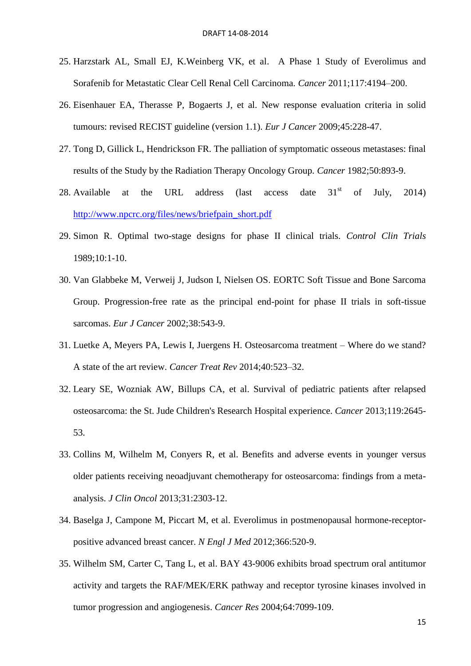- 25. Harzstark AL, Small EJ, K.Weinberg VK, et al. A Phase 1 Study of Everolimus and Sorafenib for Metastatic Clear Cell Renal Cell Carcinoma. *Cancer* 2011;117:4194–200.
- 26. Eisenhauer EA, Therasse P, Bogaerts J, et al. New response evaluation criteria in solid tumours: revised RECIST guideline (version 1.1). *Eur J Cancer* 2009;45:228-47.
- 27. Tong D, Gillick L, Hendrickson FR. The palliation of symptomatic osseous metastases: final results of the Study by the Radiation Therapy Oncology Group. *Cancer* 1982;50:893-9.
- 28. Available at the URL address (last access date  $31<sup>st</sup>$  of July, 2014) [http://www.npcrc.org/files/news/briefpain\\_short.pdf](http://www.npcrc.org/files/news/briefpain_short.pdf)
- 29. Simon R. Optimal two-stage designs for phase II clinical trials. *Control Clin Trials* 1989;10:1-10.
- 30. Van Glabbeke M, Verweij J, Judson I, Nielsen OS. EORTC Soft Tissue and Bone Sarcoma Group. Progression-free rate as the principal end-point for phase II trials in soft-tissue sarcomas. *Eur J Cancer* 2002;38:543-9.
- 31. Luetke A, Meyers PA, Lewis I, Juergens H. Osteosarcoma treatment Where do we stand? A state of the art review. *Cancer Treat Rev* 2014;40:523–32.
- 32. Leary SE, Wozniak AW, Billups CA, et al. Survival of pediatric patients after relapsed osteosarcoma: the St. Jude Children's Research Hospital experience. *Cancer* 2013;119:2645- 53.
- 33. Collins M, Wilhelm M, Conyers R, et al. Benefits and adverse events in younger versus older patients receiving neoadjuvant chemotherapy for osteosarcoma: findings from a metaanalysis. *J Clin Oncol* 2013;31:2303-12.
- 34. Baselga J, Campone M, Piccart M, et al. Everolimus in postmenopausal hormone-receptorpositive advanced breast cancer. *N Engl J Med* 2012;366:520-9.
- 35. Wilhelm SM, Carter C, Tang L, et al. BAY 43-9006 exhibits broad spectrum oral antitumor activity and targets the RAF/MEK/ERK pathway and receptor tyrosine kinases involved in tumor progression and angiogenesis. *Cancer Res* 2004;64:7099-109.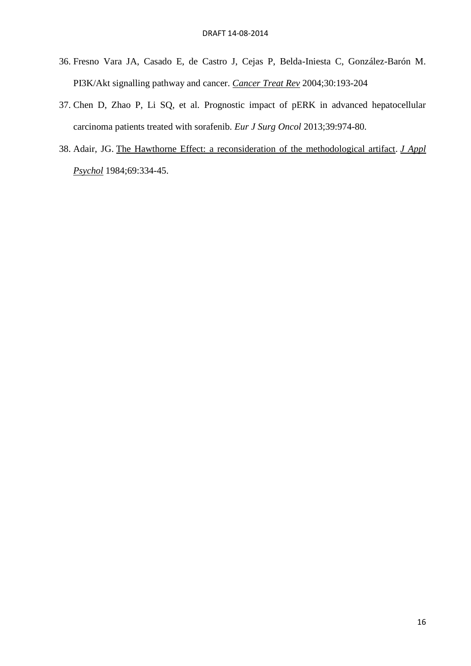- 36. Fresno Vara JA, Casado E, de Castro J, Cejas P, Belda-Iniesta C, González-Barón M. PI3K/Akt signalling pathway and cancer. *Cancer Treat Rev* 2004;30:193-204
- 37. Chen D, Zhao P, Li SQ, et al. Prognostic impact of pERK in advanced hepatocellular carcinoma patients treated with sorafenib. *Eur J Surg Oncol* 2013;39:974-80.
- 38. Adair, JG. [The Hawthorne Effect: a reconsideration of the methodological artifact.](http://www.psicologia.unimib.it/getFile.php/23195/Adair%20Hawthorne.pdf) *[J Appl](http://en.wikipedia.org/wiki/Journal_of_Applied_Psychology)  [Psychol](http://en.wikipedia.org/wiki/Journal_of_Applied_Psychology)* 1984;69:334-45.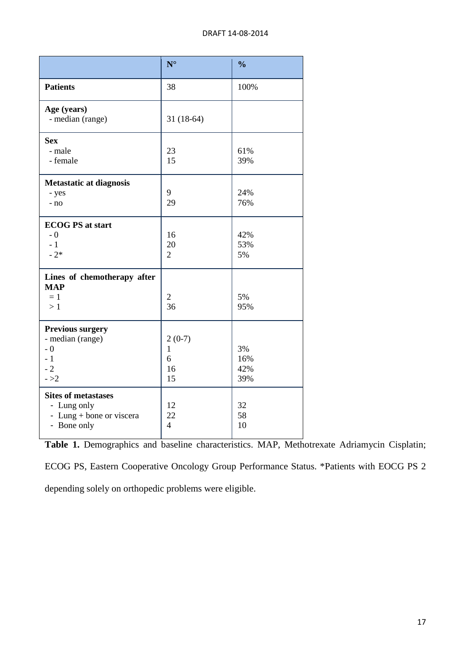|                                                                                      | $N^{\circ}$                               | $\frac{0}{0}$           |
|--------------------------------------------------------------------------------------|-------------------------------------------|-------------------------|
| <b>Patients</b>                                                                      | 38                                        | 100%                    |
| Age (years)<br>- median (range)                                                      | $31(18-64)$                               |                         |
| <b>Sex</b><br>- male<br>- female                                                     | 23<br>15                                  | 61%<br>39%              |
| <b>Metastatic at diagnosis</b><br>- yes<br>- no                                      | 9<br>29                                   | 24%<br>76%              |
| <b>ECOG PS at start</b><br>$-0$<br>$-1$<br>$-2*$                                     | 16<br>20<br>$\overline{2}$                | 42%<br>53%<br>5%        |
| Lines of chemotherapy after<br><b>MAP</b><br>$= 1$<br>>1                             | $\sqrt{2}$<br>36                          | 5%<br>95%               |
| <b>Previous surgery</b><br>- median (range)<br>$-0$<br>$-1$<br>$-2$<br>$- >2$        | $2(0-7)$<br>$\mathbf{1}$<br>6<br>16<br>15 | 3%<br>16%<br>42%<br>39% |
| <b>Sites of metastases</b><br>- Lung only<br>- Lung + bone or viscera<br>- Bone only | 12<br>22<br>$\overline{4}$                | 32<br>58<br>10          |

**Table 1.** Demographics and baseline characteristics. MAP, Methotrexate Adriamycin Cisplatin;

ECOG PS, Eastern Cooperative Oncology Group Performance Status. \*Patients with EOCG PS 2 depending solely on orthopedic problems were eligible.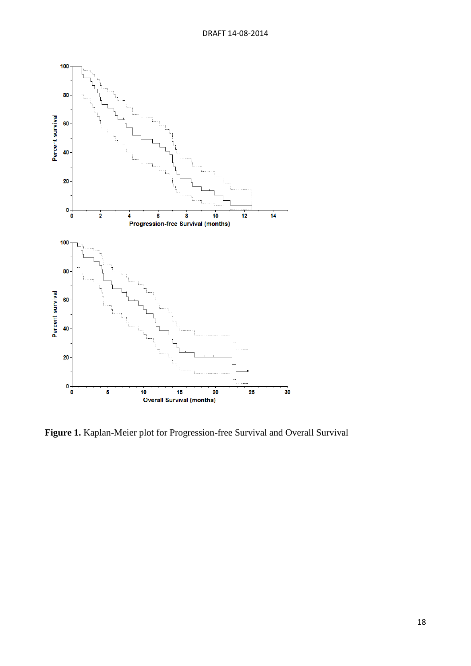

**Figure 1.** Kaplan-Meier plot for Progression-free Survival and Overall Survival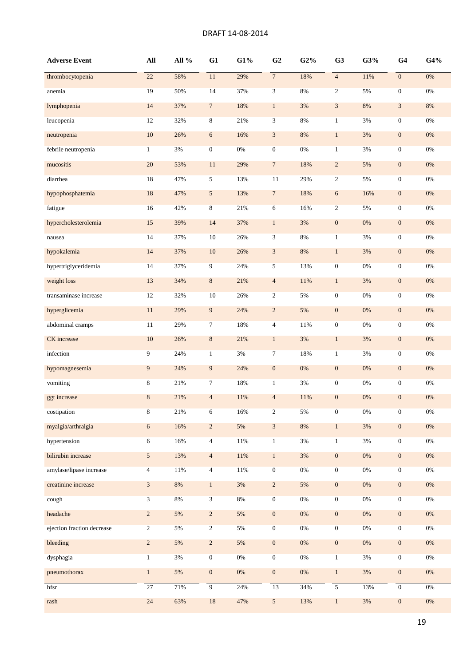## DRAFT 14-08-2014

| <b>Adverse Event</b>       | $\mathbf{All}$ | All % | G1               | G1%    | G <sub>2</sub>          | G2%   | G <sub>3</sub>   | G3%   | G <sub>4</sub>   | G4%   |
|----------------------------|----------------|-------|------------------|--------|-------------------------|-------|------------------|-------|------------------|-------|
| thrombocytopenia           | 22             | 58%   | 11               | 29%    | $\overline{7}$          | 18%   | $\overline{4}$   | 11%   | $\boldsymbol{0}$ | 0%    |
| anemia                     | 19             | 50%   | 14               | 37%    | $\overline{3}$          | 8%    | $\overline{2}$   | 5%    | $\boldsymbol{0}$ | 0%    |
| lymphopenia                | 14             | 37%   | $\tau$           | 18%    | $\mathbf{1}$            | 3%    | 3                | 8%    | $\mathfrak{Z}$   | 8%    |
| leucopenia                 | 12             | 32%   | 8                | 21%    | $\mathfrak{Z}$          | 8%    | $\mathbf{1}$     | 3%    | $\boldsymbol{0}$ | 0%    |
| neutropenia                | $10\,$         | 26%   | $\sqrt{6}$       | 16%    | $\sqrt{3}$              | $8\%$ | $\mathbf{1}$     | 3%    | $\boldsymbol{0}$ | $0\%$ |
| febrile neutropenia        | $\mathbf{1}$   | $3\%$ | $\boldsymbol{0}$ | $0\%$  | $\boldsymbol{0}$        | $0\%$ | $\mathbf{1}$     | 3%    | $\boldsymbol{0}$ | $0\%$ |
| mucositis                  | 20             | 53%   | 11               | 29%    | $\overline{7}$          | 18%   | $\overline{2}$   | 5%    | $\overline{0}$   | 0%    |
| diarrhea                   | 18             | 47%   | 5                | 13%    | 11                      | 29%   | $\overline{2}$   | 5%    | $\boldsymbol{0}$ | $0\%$ |
| hypophosphatemia           | 18             | 47%   | 5                | 13%    | $\sqrt{7}$              | 18%   | 6                | 16%   | $\boldsymbol{0}$ | $0\%$ |
| fatigue                    | 16             | 42%   | 8                | 21%    | 6                       | 16%   | $\overline{2}$   | 5%    | $\boldsymbol{0}$ | 0%    |
| hypercholesterolemia       | 15             | 39%   | 14               | 37%    | $\mathbf{1}$            | $3%$  | $\boldsymbol{0}$ | 0%    | $\boldsymbol{0}$ | $0\%$ |
| nausea                     | 14             | 37%   | 10               | 26%    | 3                       | 8%    | $\mathbf{1}$     | 3%    | $\boldsymbol{0}$ | $0\%$ |
| hypokalemia                | 14             | 37%   | $10\,$           | 26%    | $\mathfrak{Z}$          | $8\%$ | $\mathbf{1}$     | 3%    | $\boldsymbol{0}$ | 0%    |
| hypertriglyceridemia       | 14             | 37%   | 9                | 24%    | 5                       | 13%   | $\boldsymbol{0}$ | $0\%$ | $\boldsymbol{0}$ | $0\%$ |
| weight loss                | 13             | 34%   | $\,8\,$          | 21%    | $\overline{4}$          | 11%   | $\mathbf{1}$     | $3%$  | $\boldsymbol{0}$ | $0\%$ |
| transaminase increase      | 12             | 32%   | 10               | 26%    | $\overline{c}$          | 5%    | $\boldsymbol{0}$ | $0\%$ | $\boldsymbol{0}$ | 0%    |
| hyperglicemia              | 11             | 29%   | 9                | 24%    | $\overline{\mathbf{c}}$ | 5%    | $\mathbf{0}$     | 0%    | $\boldsymbol{0}$ | $0\%$ |
| abdominal cramps           | 11             | 29%   | $\tau$           | 18%    | $\overline{4}$          | 11%   | $\boldsymbol{0}$ | $0\%$ | $\boldsymbol{0}$ | 0%    |
| CK increase                | $10\,$         | 26%   | $\,8\,$          | 21%    | $\mathbf{1}$            | $3%$  | $\mathbf{1}$     | $3%$  | $\boldsymbol{0}$ | $0\%$ |
| infection                  | 9              | 24%   | $\mathbf{1}$     | 3%     | $\tau$                  | 18%   | $\mathbf{1}$     | 3%    | $\boldsymbol{0}$ | $0\%$ |
| hypomagnesemia             | 9              | 24%   | 9                | 24%    | $\boldsymbol{0}$        | $0\%$ | $\boldsymbol{0}$ | $0\%$ | $\boldsymbol{0}$ | $0\%$ |
| vomiting                   | 8              | 21%   | 7                | 18%    | $\mathbf{1}$            | $3\%$ | $\mathbf{0}$     | $0\%$ | $\boldsymbol{0}$ | $0\%$ |
| ggt increase               | $\,8\,$        | 21%   | $\overline{4}$   | 11%    | $\overline{4}$          | 11%   | $\mathbf{0}$     | 0%    | $\boldsymbol{0}$ | $0\%$ |
| costipation                | 8              | 21%   | 6                | 16%    | $\overline{c}$          | 5%    | $\mathbf{0}$     | $0\%$ | $\boldsymbol{0}$ | $0\%$ |
| myalgia/arthralgia         | $\sqrt{6}$     | 16%   | $\sqrt{2}$       | 5%     | $\sqrt{3}$              | $8\%$ | $\mathbf{1}$     | $3\%$ | $\boldsymbol{0}$ | $0\%$ |
| hypertension               | $\sqrt{6}$     | 16%   | $\overline{4}$   | $11\%$ | $\,1$                   | $3\%$ | $\mathbf{1}$     | $3\%$ | $\boldsymbol{0}$ | $0\%$ |
| bilirubin increase         | 5              | 13%   | $\overline{4}$   | $11\%$ | $\mathbf{1}$            | $3\%$ | $\boldsymbol{0}$ | $0\%$ | $\boldsymbol{0}$ | $0\%$ |
| amylase/lipase increase    | 4              | 11%   | $\overline{4}$   | 11%    | $\overline{0}$          | $0\%$ | $\overline{0}$   | $0\%$ | $\overline{0}$   | 0%    |
| creatinine increase        | $\mathfrak{Z}$ | $8\%$ | $\mathbf{1}$     | $3\%$  | $\sqrt{2}$              | 5%    | $\boldsymbol{0}$ | $0\%$ | $\boldsymbol{0}$ | $0\%$ |
| cough                      | 3              | 8%    | $\mathfrak{Z}$   | $8\%$  | $\overline{0}$          | $0\%$ | $\overline{0}$   | $0\%$ | $\boldsymbol{0}$ | $0\%$ |
| headache                   | $\overline{c}$ | 5%    | $\overline{c}$   | 5%     | $\boldsymbol{0}$        | $0\%$ | $\boldsymbol{0}$ | $0\%$ | $\boldsymbol{0}$ | $0\%$ |
| ejection fraction decrease | $\overline{c}$ | 5%    | $\overline{c}$   | 5%     | $\boldsymbol{0}$        | $0\%$ | $\boldsymbol{0}$ | $0\%$ | $\boldsymbol{0}$ | $0\%$ |
| bleeding                   | $\overline{c}$ | 5%    | $\overline{c}$   | 5%     | $\boldsymbol{0}$        | $0\%$ | $\mathbf{0}$     | $0\%$ | $\boldsymbol{0}$ | $0\%$ |
| dysphagia                  | $\mathbf{1}$   | 3%    | $\boldsymbol{0}$ | $0\%$  | $\overline{0}$          | $0\%$ | $\mathbf{1}$     | 3%    | $\boldsymbol{0}$ | $0\%$ |
| pneumothorax               | $\mathbf{1}$   | 5%    | $\boldsymbol{0}$ | $0\%$  | $\boldsymbol{0}$        | $0\%$ | $\mathbf{1}$     | $3\%$ | $\boldsymbol{0}$ | $0\%$ |
| hfsr                       | 27             | 71%   | $\overline{9}$   | 24%    | 13                      | 34%   | $\overline{5}$   | 13%   | $\overline{0}$   | $0\%$ |
| rash                       | 24             | 63%   | $18\,$           | 47%    | $\mathfrak{S}$          | 13%   | $\mathbf{1}$     | 3%    | $\boldsymbol{0}$ | $0\%$ |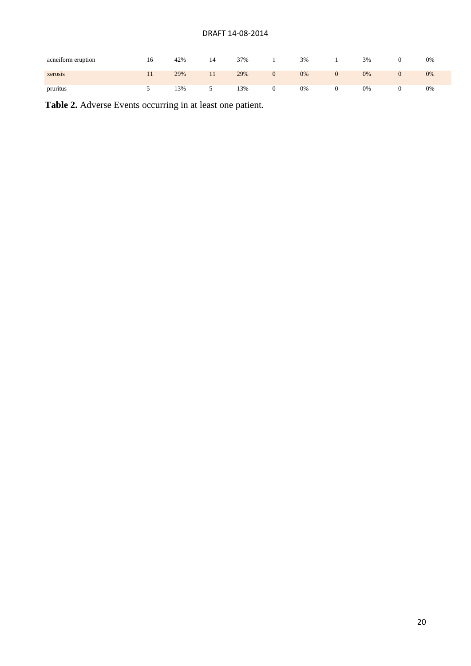# DRAFT 14-08-2014

| acneiform eruption | 16. | 42% | 14 | 37% | 3% | 3% | 0% |
|--------------------|-----|-----|----|-----|----|----|----|
| xerosis            |     | 29% |    | 29% | 0% | 0% | 0% |
| pruritus           |     | 13% |    | 13% | 0% | 0% | 0% |

**Table 2.** Adverse Events occurring in at least one patient.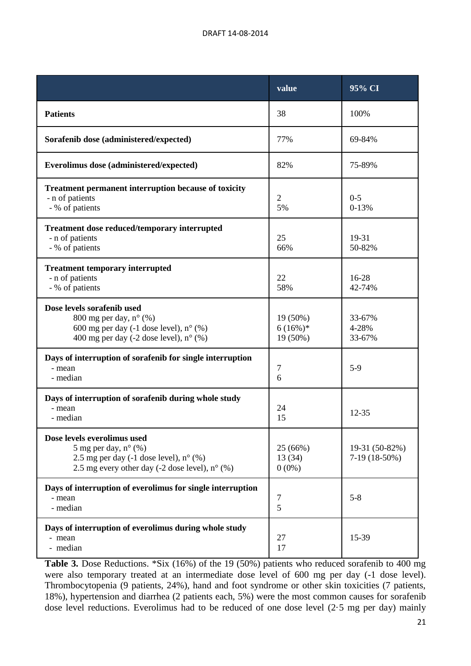|                                                                                                                                                                                   | value                              | 95% CI                           |
|-----------------------------------------------------------------------------------------------------------------------------------------------------------------------------------|------------------------------------|----------------------------------|
| <b>Patients</b>                                                                                                                                                                   | 38                                 | 100%                             |
| Sorafenib dose (administered/expected)                                                                                                                                            | 77%                                | 69-84%                           |
| Everolimus dose (administered/expected)                                                                                                                                           | 82%                                | 75-89%                           |
| <b>Treatment permanent interruption because of toxicity</b><br>- n of patients<br>- % of patients                                                                                 | $\overline{2}$<br>5%               | $0 - 5$<br>$0 - 13%$             |
| <b>Treatment dose reduced/temporary interrupted</b><br>- n of patients<br>- % of patients                                                                                         | 25<br>66%                          | 19-31<br>50-82%                  |
| <b>Treatment temporary interrupted</b><br>- n of patients<br>- % of patients                                                                                                      | 22<br>58%                          | $16 - 28$<br>42-74%              |
| Dose levels sorafenib used<br>800 mg per day, $n^{\circ}$ (%)<br>600 mg per day $(-1$ dose level), $n^{\circ}$ (%)<br>400 mg per day (-2 dose level), $n^{\circ}$ (%)             | 19 (50%)<br>$6(16\%)*$<br>19 (50%) | 33-67%<br>4-28%<br>33-67%        |
| Days of interruption of sorafenib for single interruption<br>- mean<br>- median                                                                                                   | 7<br>6                             | $5-9$                            |
| Days of interruption of sorafenib during whole study<br>- mean<br>- median                                                                                                        | 24<br>15                           | $12 - 35$                        |
| Dose levels everolimus used<br>5 mg per day, $n^{\circ}$ (%)<br>2.5 mg per day $(-1$ dose level), $n^{\circ}$ (%)<br>2.5 mg every other day $(-2 \text{ dose level})$ , n° $(\%)$ | 25 (66%)<br>13(34)<br>$0(0\%)$     | 19-31 (50-82%)<br>$7-19(18-50%)$ |
| Days of interruption of everolimus for single interruption<br>- mean<br>- median                                                                                                  | $\tau$<br>5                        | $5 - 8$                          |
| Days of interruption of everolimus during whole study<br>- mean<br>- median                                                                                                       | 27<br>17                           | 15-39                            |

**Table 3.** Dose Reductions. \*Six (16%) of the 19 (50%) patients who reduced sorafenib to 400 mg were also temporary treated at an intermediate dose level of 600 mg per day (-1 dose level). Thrombocytopenia (9 patients, 24%), hand and foot syndrome or other skin toxicities (7 patients, 18%), hypertension and diarrhea (2 patients each, 5%) were the most common causes for sorafenib dose level reductions. Everolimus had to be reduced of one dose level (2·5 mg per day) mainly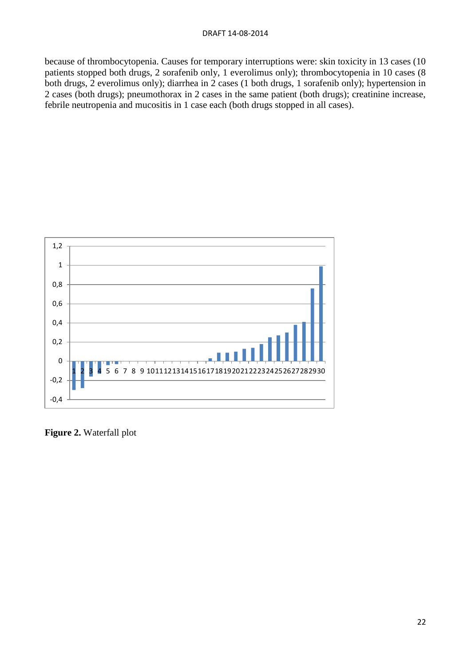because of thrombocytopenia. Causes for temporary interruptions were: skin toxicity in 13 cases (10 patients stopped both drugs, 2 sorafenib only, 1 everolimus only); thrombocytopenia in 10 cases (8 both drugs, 2 everolimus only); diarrhea in 2 cases (1 both drugs, 1 sorafenib only); hypertension in 2 cases (both drugs); pneumothorax in 2 cases in the same patient (both drugs); creatinine increase, febrile neutropenia and mucositis in 1 case each (both drugs stopped in all cases).



**Figure 2.** Waterfall plot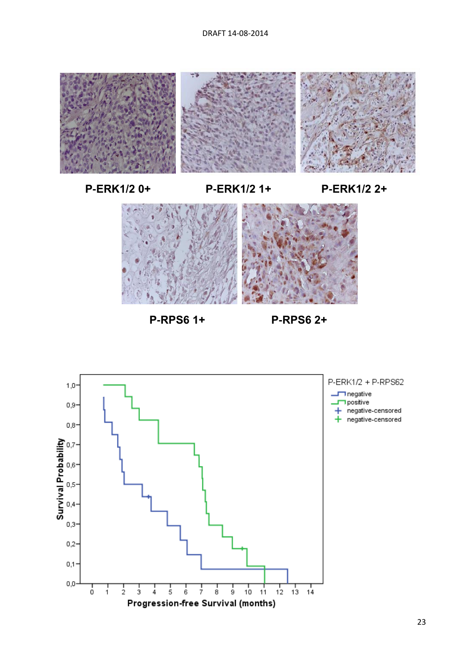

**P-ERK1/2 0+ P-ERK1/2 1+ P-ERK1/2 2+**



**P-RPS6 1+ P-RPS6 2+**

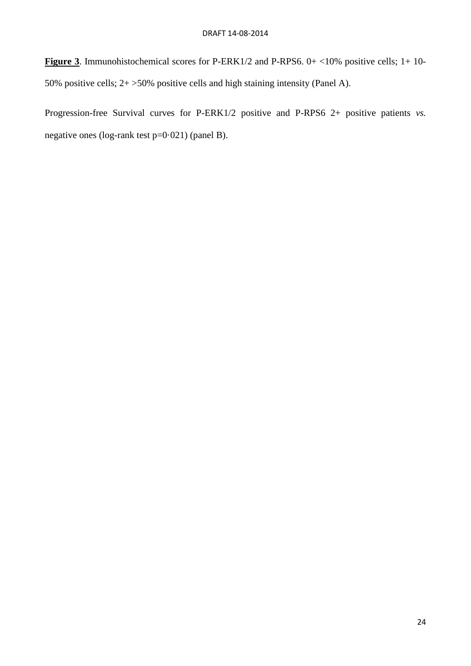**Figure 3**. Immunohistochemical scores for P-ERK1/2 and P-RPS6. 0+ <10% positive cells; 1+ 10-50% positive cells; 2+ >50% positive cells and high staining intensity (Panel A).

Progression-free Survival curves for P-ERK1/2 positive and P-RPS6 2+ positive patients *vs.* negative ones (log-rank test p=0·021) (panel B).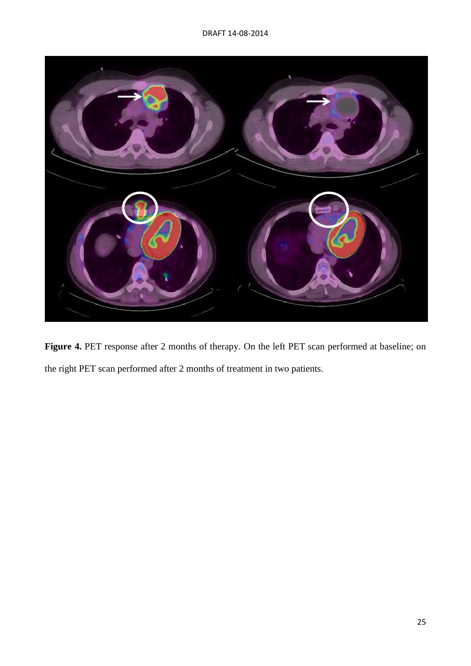

Figure 4. PET response after 2 months of therapy. On the left PET scan performed at baseline; on the right PET scan performed after 2 months of treatment in two patients.